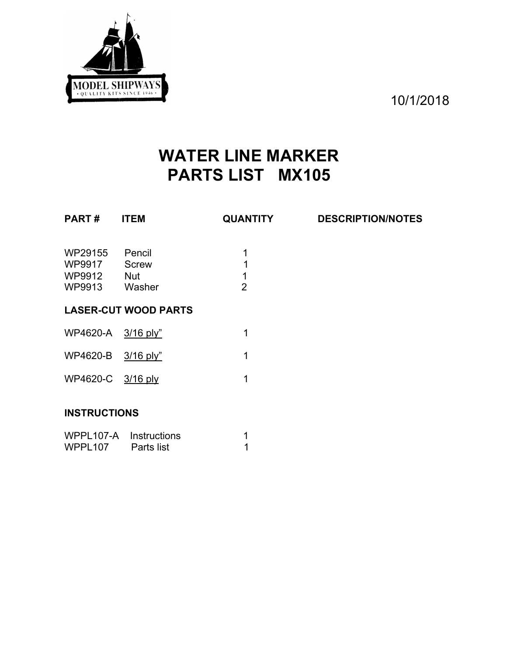

10/1/2018

## **WATER LINE MARKER PARTS LIST MX105**

| <b>PART#</b>                                 | <b>ITEM</b>                                    | <b>QUANTITY</b>               | <b>DESCRIPTION/NOTES</b> |  |  |
|----------------------------------------------|------------------------------------------------|-------------------------------|--------------------------|--|--|
| WP29155<br>WP9917<br>WP9912<br><b>WP9913</b> | Pencil<br><b>Screw</b><br><b>Nut</b><br>Washer | 1<br>1<br>1<br>$\overline{2}$ |                          |  |  |
|                                              | <b>LASER-CUT WOOD PARTS</b>                    |                               |                          |  |  |
| WP4620-A                                     | $3/16$ ply"                                    | 1                             |                          |  |  |
| <b>WP4620-B</b>                              | $3/16$ ply"                                    | 1                             |                          |  |  |
| WP4620-C 3/16 ply                            |                                                | 1                             |                          |  |  |
| <b>INSTRUCTIONS</b>                          |                                                |                               |                          |  |  |

## **INSTRUCTIONS**

| WPPL107-A Instructions |            |  |
|------------------------|------------|--|
| WPPL107                | Parts list |  |